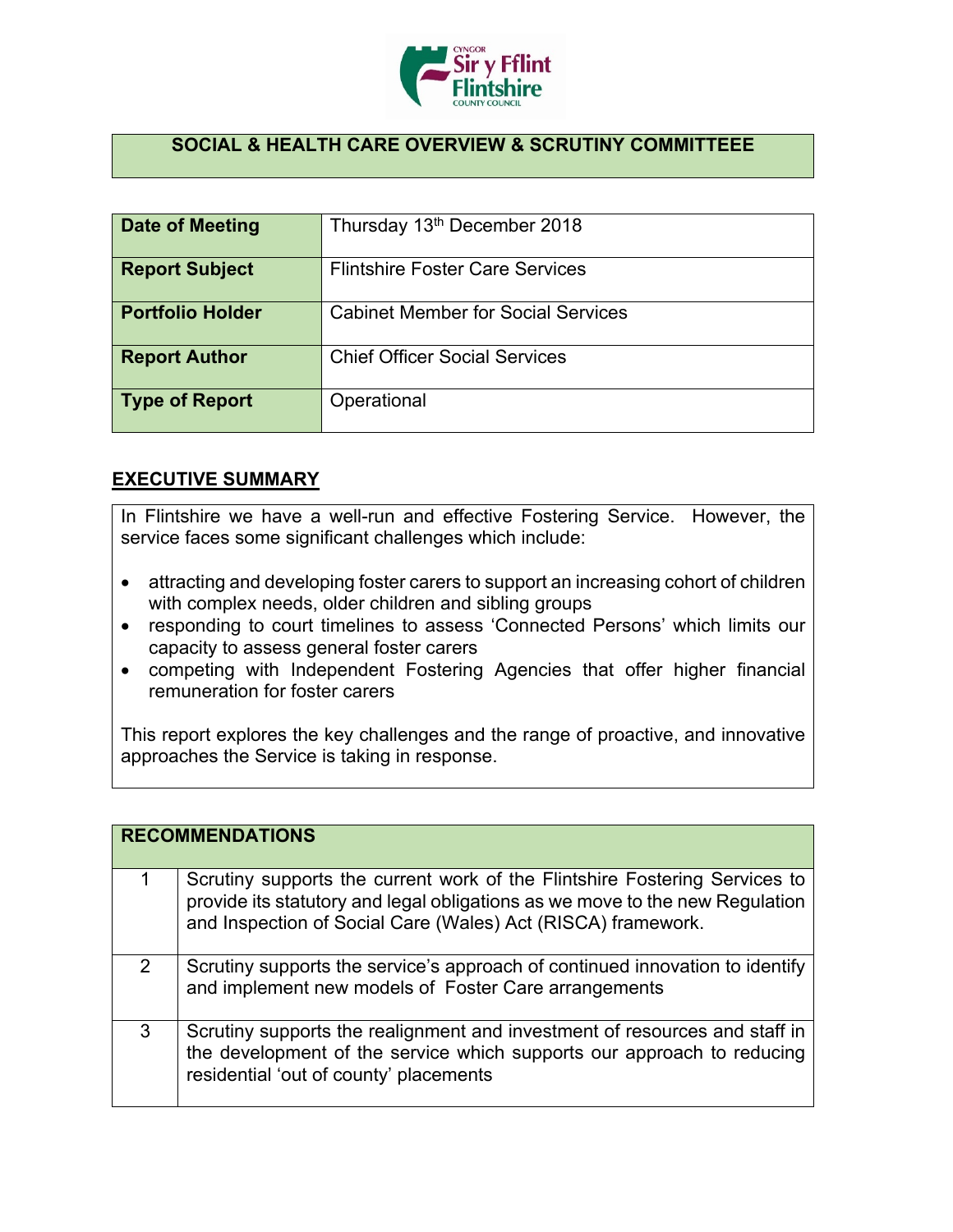

## **SOCIAL & HEALTH CARE OVERVIEW & SCRUTINY COMMITTEEE**

| Date of Meeting         | Thursday 13 <sup>th</sup> December 2018   |
|-------------------------|-------------------------------------------|
| <b>Report Subject</b>   | <b>Flintshire Foster Care Services</b>    |
| <b>Portfolio Holder</b> | <b>Cabinet Member for Social Services</b> |
| <b>Report Author</b>    | <b>Chief Officer Social Services</b>      |
| <b>Type of Report</b>   | Operational                               |

## **EXECUTIVE SUMMARY**

In Flintshire we have a well-run and effective Fostering Service. However, the service faces some significant challenges which include:

- attracting and developing foster carers to support an increasing cohort of children with complex needs, older children and sibling groups
- responding to court timelines to assess 'Connected Persons' which limits our capacity to assess general foster carers
- competing with Independent Fostering Agencies that offer higher financial remuneration for foster carers

This report explores the key challenges and the range of proactive, and innovative approaches the Service is taking in response.

|               | <b>RECOMMENDATIONS</b>                                                                                                                                                                                                     |
|---------------|----------------------------------------------------------------------------------------------------------------------------------------------------------------------------------------------------------------------------|
|               | Scrutiny supports the current work of the Flintshire Fostering Services to<br>provide its statutory and legal obligations as we move to the new Regulation<br>and Inspection of Social Care (Wales) Act (RISCA) framework. |
| $\mathcal{P}$ | Scrutiny supports the service's approach of continued innovation to identify<br>and implement new models of Foster Care arrangements                                                                                       |
| 3             | Scrutiny supports the realignment and investment of resources and staff in<br>the development of the service which supports our approach to reducing<br>residential 'out of county' placements                             |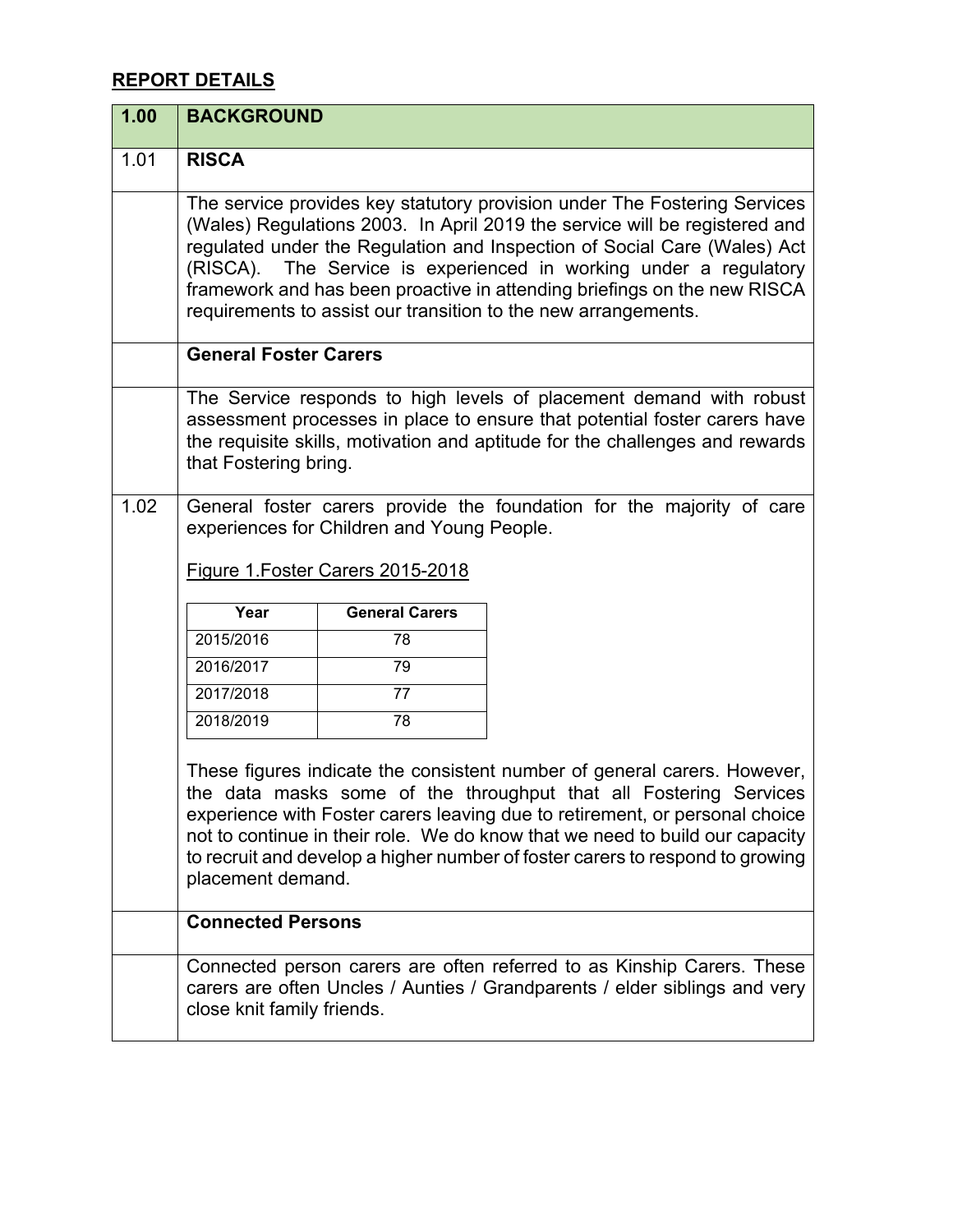## **REPORT DETAILS**

| 1.00 | <b>BACKGROUND</b>                                                                                                                                                                                                                                                                                                                                                                                                                                         |                       |                                                                                                                                                                                                                                                                                                                                                                                               |
|------|-----------------------------------------------------------------------------------------------------------------------------------------------------------------------------------------------------------------------------------------------------------------------------------------------------------------------------------------------------------------------------------------------------------------------------------------------------------|-----------------------|-----------------------------------------------------------------------------------------------------------------------------------------------------------------------------------------------------------------------------------------------------------------------------------------------------------------------------------------------------------------------------------------------|
| 1.01 | <b>RISCA</b>                                                                                                                                                                                                                                                                                                                                                                                                                                              |                       |                                                                                                                                                                                                                                                                                                                                                                                               |
|      | The service provides key statutory provision under The Fostering Services<br>(Wales) Regulations 2003. In April 2019 the service will be registered and<br>regulated under the Regulation and Inspection of Social Care (Wales) Act<br>The Service is experienced in working under a regulatory<br>(RISCA).<br>framework and has been proactive in attending briefings on the new RISCA<br>requirements to assist our transition to the new arrangements. |                       |                                                                                                                                                                                                                                                                                                                                                                                               |
|      | <b>General Foster Carers</b>                                                                                                                                                                                                                                                                                                                                                                                                                              |                       |                                                                                                                                                                                                                                                                                                                                                                                               |
|      | that Fostering bring.                                                                                                                                                                                                                                                                                                                                                                                                                                     |                       | The Service responds to high levels of placement demand with robust<br>assessment processes in place to ensure that potential foster carers have<br>the requisite skills, motivation and aptitude for the challenges and rewards                                                                                                                                                              |
| 1.02 | General foster carers provide the foundation for the majority of care<br>experiences for Children and Young People.<br>Figure 1. Foster Carers 2015-2018                                                                                                                                                                                                                                                                                                  |                       |                                                                                                                                                                                                                                                                                                                                                                                               |
|      | Year                                                                                                                                                                                                                                                                                                                                                                                                                                                      | <b>General Carers</b> |                                                                                                                                                                                                                                                                                                                                                                                               |
|      | 2015/2016                                                                                                                                                                                                                                                                                                                                                                                                                                                 | 78                    |                                                                                                                                                                                                                                                                                                                                                                                               |
|      | 2016/2017                                                                                                                                                                                                                                                                                                                                                                                                                                                 | 79                    |                                                                                                                                                                                                                                                                                                                                                                                               |
|      | 2017/2018                                                                                                                                                                                                                                                                                                                                                                                                                                                 | 77                    |                                                                                                                                                                                                                                                                                                                                                                                               |
|      | 2018/2019                                                                                                                                                                                                                                                                                                                                                                                                                                                 | 78                    |                                                                                                                                                                                                                                                                                                                                                                                               |
|      | placement demand.                                                                                                                                                                                                                                                                                                                                                                                                                                         |                       | These figures indicate the consistent number of general carers. However,<br>the data masks some of the throughput that all Fostering Services<br>experience with Foster carers leaving due to retirement, or personal choice<br>not to continue in their role. We do know that we need to build our capacity<br>to recruit and develop a higher number of foster carers to respond to growing |
|      | <b>Connected Persons</b>                                                                                                                                                                                                                                                                                                                                                                                                                                  |                       |                                                                                                                                                                                                                                                                                                                                                                                               |
|      | close knit family friends.                                                                                                                                                                                                                                                                                                                                                                                                                                |                       | Connected person carers are often referred to as Kinship Carers. These<br>carers are often Uncles / Aunties / Grandparents / elder siblings and very                                                                                                                                                                                                                                          |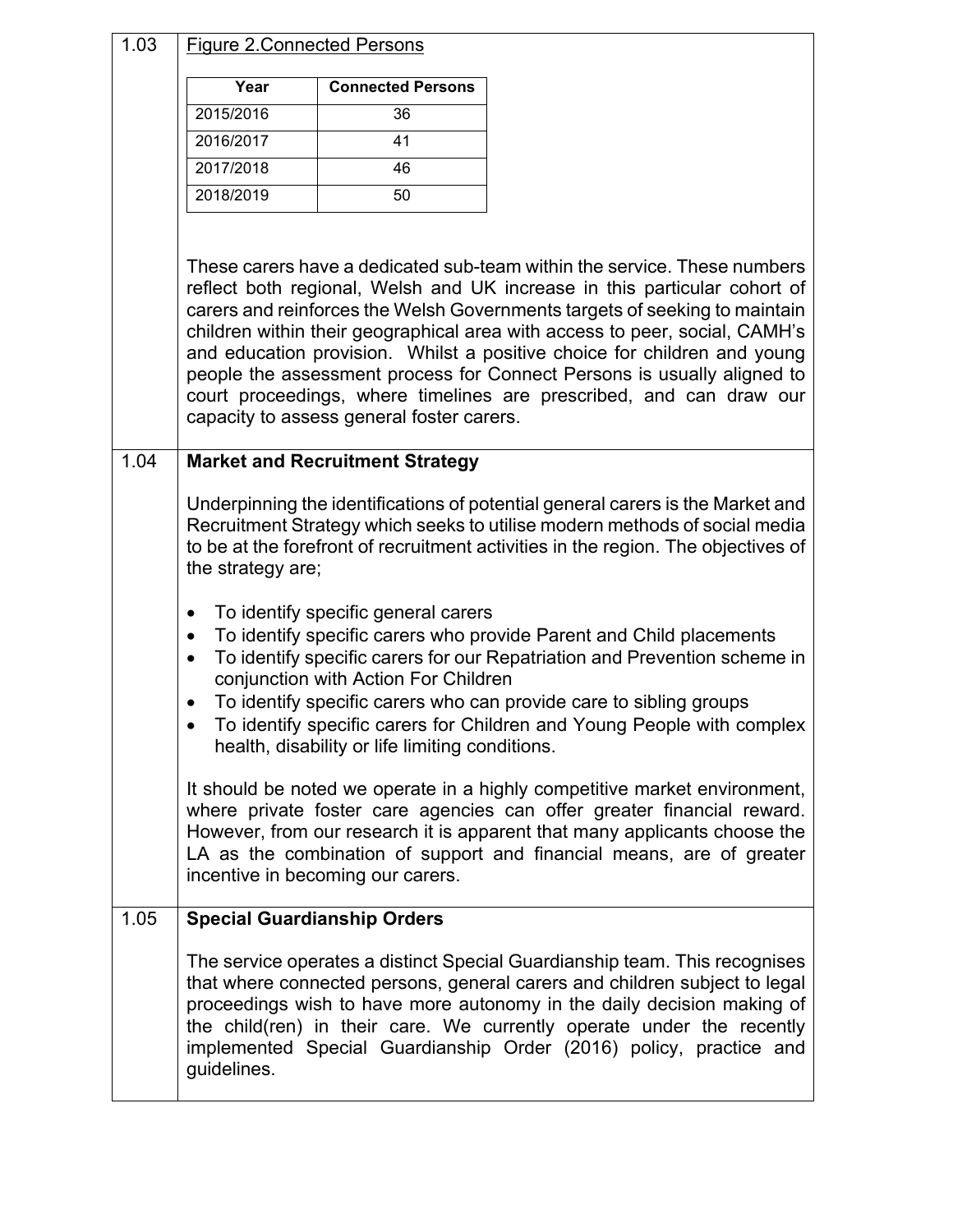| 1.03 | <b>Figure 2. Connected Persons</b>               |                                                                                                                                |                                                                                                                                                                                                                                                                                                                                                                                                                                                                                                                                                  |
|------|--------------------------------------------------|--------------------------------------------------------------------------------------------------------------------------------|--------------------------------------------------------------------------------------------------------------------------------------------------------------------------------------------------------------------------------------------------------------------------------------------------------------------------------------------------------------------------------------------------------------------------------------------------------------------------------------------------------------------------------------------------|
|      | Year                                             | <b>Connected Persons</b>                                                                                                       |                                                                                                                                                                                                                                                                                                                                                                                                                                                                                                                                                  |
|      | 2015/2016                                        | 36                                                                                                                             |                                                                                                                                                                                                                                                                                                                                                                                                                                                                                                                                                  |
|      | 2016/2017                                        | 41                                                                                                                             |                                                                                                                                                                                                                                                                                                                                                                                                                                                                                                                                                  |
|      | 2017/2018                                        | 46                                                                                                                             |                                                                                                                                                                                                                                                                                                                                                                                                                                                                                                                                                  |
|      | 2018/2019                                        | 50                                                                                                                             |                                                                                                                                                                                                                                                                                                                                                                                                                                                                                                                                                  |
|      |                                                  |                                                                                                                                |                                                                                                                                                                                                                                                                                                                                                                                                                                                                                                                                                  |
|      |                                                  | capacity to assess general foster carers.                                                                                      | These carers have a dedicated sub-team within the service. These numbers<br>reflect both regional, Welsh and UK increase in this particular cohort of<br>carers and reinforces the Welsh Governments targets of seeking to maintain<br>children within their geographical area with access to peer, social, CAMH's<br>and education provision. Whilst a positive choice for children and young<br>people the assessment process for Connect Persons is usually aligned to<br>court proceedings, where timelines are prescribed, and can draw our |
| 1.04 |                                                  | <b>Market and Recruitment Strategy</b>                                                                                         |                                                                                                                                                                                                                                                                                                                                                                                                                                                                                                                                                  |
|      | the strategy are;                                |                                                                                                                                | Underpinning the identifications of potential general carers is the Market and<br>Recruitment Strategy which seeks to utilise modern methods of social media<br>to be at the forefront of recruitment activities in the region. The objectives of                                                                                                                                                                                                                                                                                                |
|      | $\bullet$<br>$\bullet$<br>$\bullet$<br>$\bullet$ | To identify specific general carers<br>conjunction with Action For Children<br>health, disability or life limiting conditions. | To identify specific carers who provide Parent and Child placements<br>To identify specific carers for our Repatriation and Prevention scheme in<br>To identify specific carers who can provide care to sibling groups<br>To identify specific carers for Children and Young People with complex                                                                                                                                                                                                                                                 |
|      |                                                  | incentive in becoming our carers.                                                                                              | It should be noted we operate in a highly competitive market environment,<br>where private foster care agencies can offer greater financial reward.<br>However, from our research it is apparent that many applicants choose the<br>LA as the combination of support and financial means, are of greater                                                                                                                                                                                                                                         |
| 1.05 |                                                  | <b>Special Guardianship Orders</b>                                                                                             |                                                                                                                                                                                                                                                                                                                                                                                                                                                                                                                                                  |
|      | guidelines.                                      |                                                                                                                                | The service operates a distinct Special Guardianship team. This recognises<br>that where connected persons, general carers and children subject to legal<br>proceedings wish to have more autonomy in the daily decision making of<br>the child(ren) in their care. We currently operate under the recently<br>implemented Special Guardianship Order (2016) policy, practice and                                                                                                                                                                |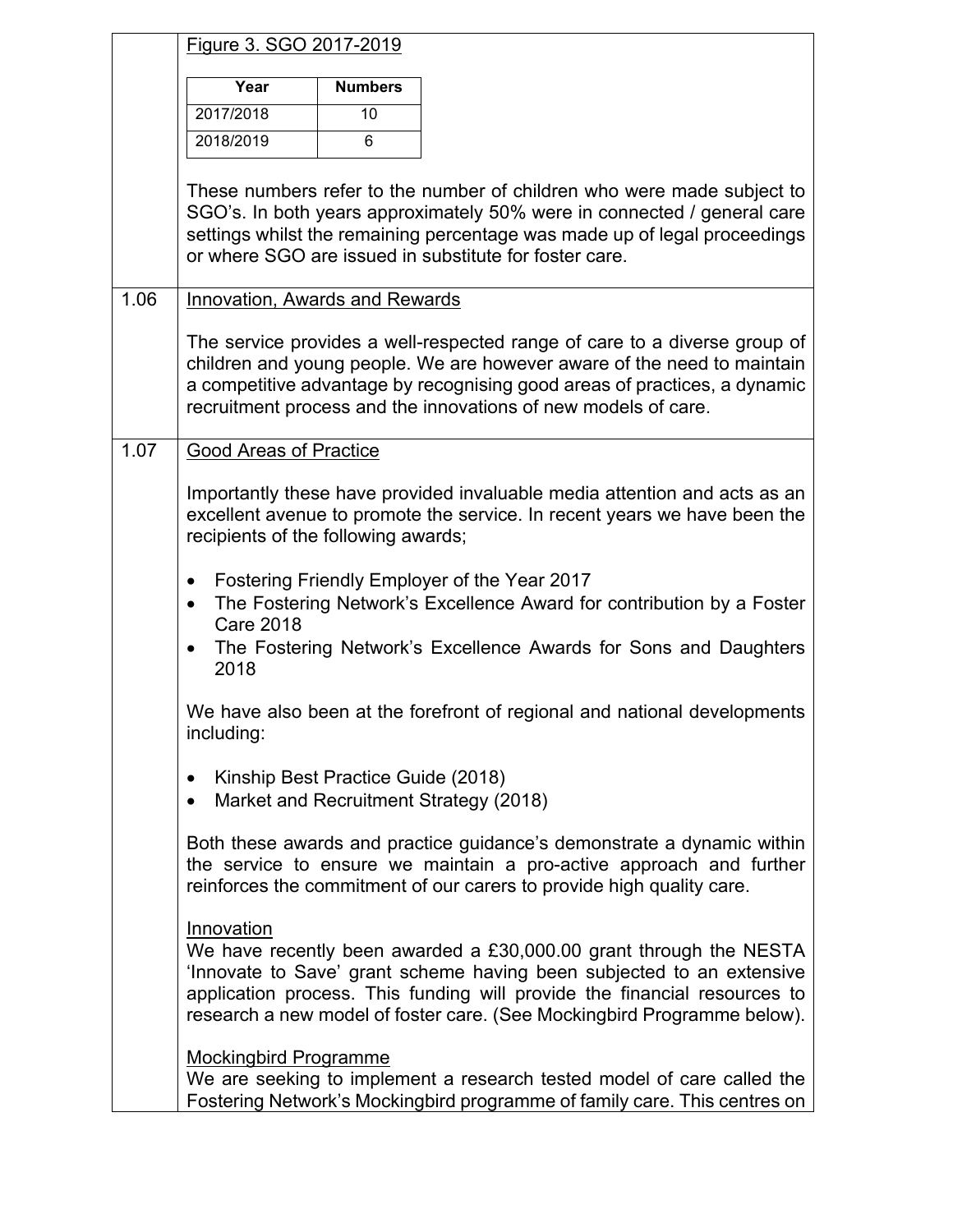|      | Figure 3. SGO 2017-2019                                      |                |                                                                                                                                                                                                                                                                                                     |
|------|--------------------------------------------------------------|----------------|-----------------------------------------------------------------------------------------------------------------------------------------------------------------------------------------------------------------------------------------------------------------------------------------------------|
|      | Year                                                         | <b>Numbers</b> |                                                                                                                                                                                                                                                                                                     |
|      | 2017/2018                                                    | 10             |                                                                                                                                                                                                                                                                                                     |
|      | 2018/2019                                                    | 6              |                                                                                                                                                                                                                                                                                                     |
|      |                                                              |                | These numbers refer to the number of children who were made subject to<br>SGO's. In both years approximately 50% were in connected / general care<br>settings whilst the remaining percentage was made up of legal proceedings<br>or where SGO are issued in substitute for foster care.            |
| 1.06 | Innovation, Awards and Rewards                               |                |                                                                                                                                                                                                                                                                                                     |
|      |                                                              |                | The service provides a well-respected range of care to a diverse group of<br>children and young people. We are however aware of the need to maintain<br>a competitive advantage by recognising good areas of practices, a dynamic<br>recruitment process and the innovations of new models of care. |
| 1.07 | <b>Good Areas of Practice</b>                                |                |                                                                                                                                                                                                                                                                                                     |
|      | recipients of the following awards;<br>$\bullet$             |                | Importantly these have provided invaluable media attention and acts as an<br>excellent avenue to promote the service. In recent years we have been the<br>Fostering Friendly Employer of the Year 2017                                                                                              |
|      | $\bullet$<br><b>Care 2018</b>                                |                | The Fostering Network's Excellence Award for contribution by a Foster                                                                                                                                                                                                                               |
|      | $\bullet$<br>2018                                            |                | The Fostering Network's Excellence Awards for Sons and Daughters                                                                                                                                                                                                                                    |
|      | including:                                                   |                | We have also been at the forefront of regional and national developments                                                                                                                                                                                                                            |
|      | Kinship Best Practice Guide (2018)<br>$\bullet$<br>$\bullet$ |                | Market and Recruitment Strategy (2018)                                                                                                                                                                                                                                                              |
|      |                                                              |                | Both these awards and practice guidance's demonstrate a dynamic within<br>the service to ensure we maintain a pro-active approach and further<br>reinforces the commitment of our carers to provide high quality care.                                                                              |
|      | Innovation                                                   |                | We have recently been awarded a £30,000.00 grant through the NESTA<br>'Innovate to Save' grant scheme having been subjected to an extensive<br>application process. This funding will provide the financial resources to<br>research a new model of foster care. (See Mockingbird Programme below). |
|      | <b>Mockingbird Programme</b>                                 |                | We are seeking to implement a research tested model of care called the<br>Fostering Network's Mockingbird programme of family care. This centres on                                                                                                                                                 |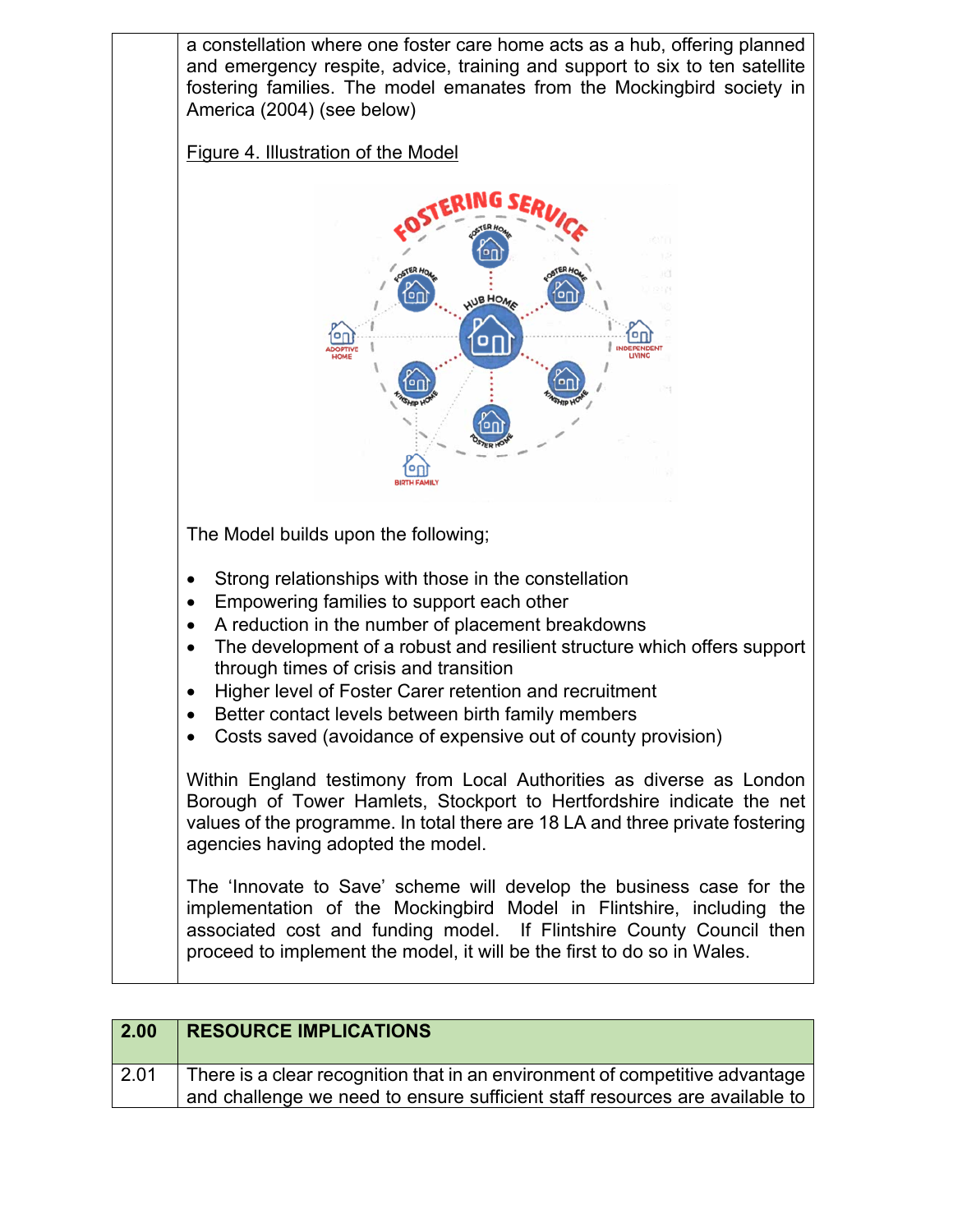

| <b>2.00</b> | <b>RESOURCE IMPLICATIONS</b>                                                 |
|-------------|------------------------------------------------------------------------------|
| 2.01        | There is a clear recognition that in an environment of competitive advantage |
|             | and challenge we need to ensure sufficient staff resources are available to  |